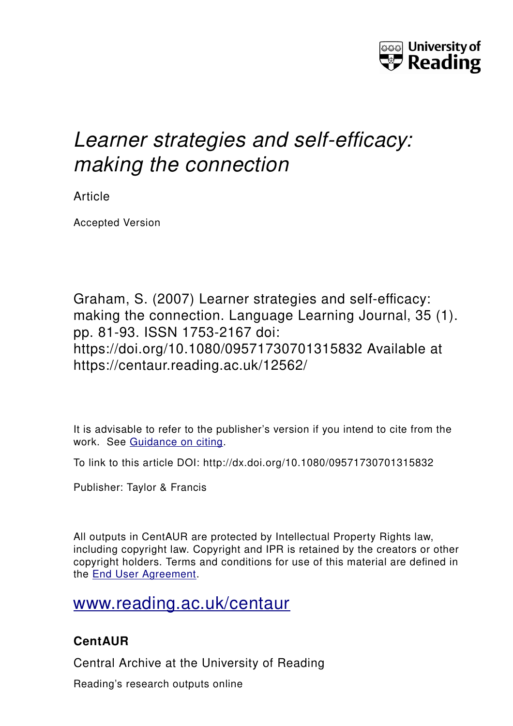

# *Learner strategies and self-efficacy: making the connection*

Article

Accepted Version

Graham, S. (2007) Learner strategies and self-efficacy: making the connection. Language Learning Journal, 35 (1). pp. 81-93. ISSN 1753-2167 doi: https://doi.org/10.1080/09571730701315832 Available at https://centaur.reading.ac.uk/12562/

It is advisable to refer to the publisher's version if you intend to cite from the work. See [Guidance on citing.](http://centaur.reading.ac.uk/71187/10/CentAUR%20citing%20guide.pdf)

To link to this article DOI: http://dx.doi.org/10.1080/09571730701315832

Publisher: Taylor & Francis

All outputs in CentAUR are protected by Intellectual Property Rights law, including copyright law. Copyright and IPR is retained by the creators or other copyright holders. Terms and conditions for use of this material are defined in the [End User Agreement.](http://centaur.reading.ac.uk/licence)

# [www.reading.ac.uk/centaur](http://www.reading.ac.uk/centaur)

# **CentAUR**

Central Archive at the University of Reading

Reading's research outputs online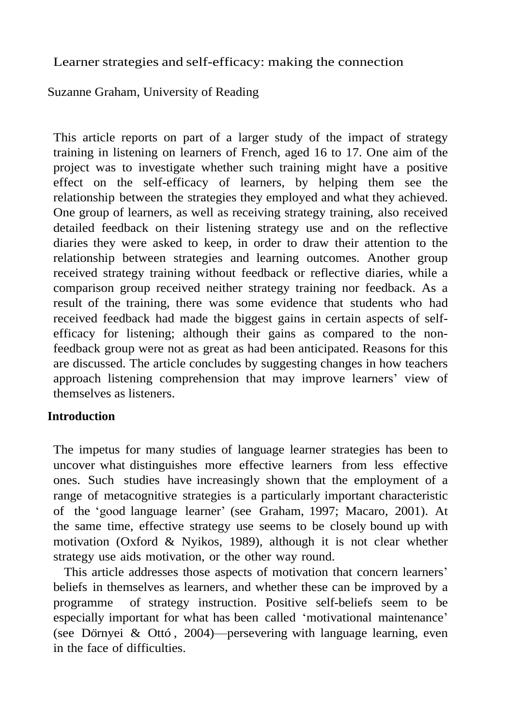Learner strategies and self-efficacy: making the connection

Suzanne Graham, University of Reading

This article reports on part of a larger study of the impact of strategy training in listening on learners of French, aged 16 to 17. One aim of the project was to investigate whether such training might have a positive effect on the self-efficacy of learners, by helping them see the relationship between the strategies they employed and what they achieved. One group of learners, as well as receiving strategy training, also received detailed feedback on their listening strategy use and on the reflective diaries they were asked to keep, in order to draw their attention to the relationship between strategies and learning outcomes. Another group received strategy training without feedback or reflective diaries, while a comparison group received neither strategy training nor feedback. As a result of the training, there was some evidence that students who had received feedback had made the biggest gains in certain aspects of selfefficacy for listening; although their gains as compared to the nonfeedback group were not as great as had been anticipated. Reasons for this are discussed. The article concludes by suggesting changes in how teachers approach listening comprehension that may improve learners' view of themselves as listeners.

#### **Introduction**

The impetus for many studies of language learner strategies has been to uncover what distinguishes more effective learners from less effective ones. Such studies have increasingly shown that the employment of a range of metacognitive strategies is a particularly important characteristic of the 'good language learner' (see Graham, 1997; Macaro, 2001). At the same time, effective strategy use seems to be closely bound up with motivation (Oxford & Nyikos, 1989), although it is not clear whether strategy use aids motivation, or the other way round.

This article addresses those aspects of motivation that concern learners' beliefs in themselves as learners, and whether these can be improved by a programme of strategy instruction. Positive self-beliefs seem to be especially important for what has been called 'motivational maintenance' (see Dörnyei & Ottó, 2004)—persevering with language learning, even in the face of difficulties.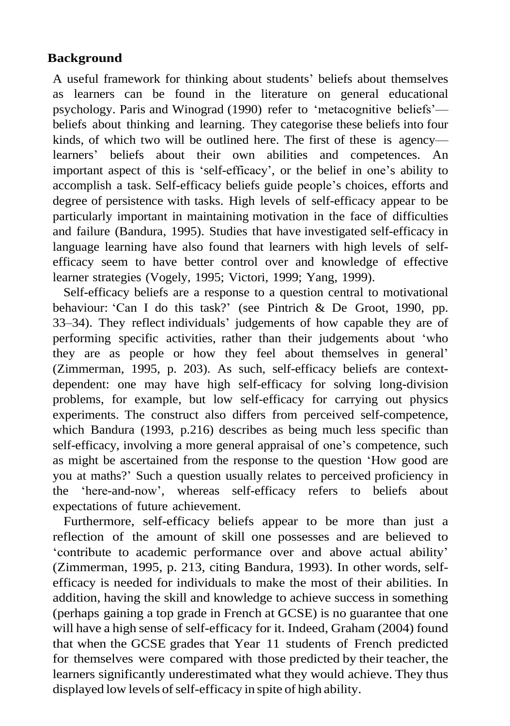#### **Background**

A useful framework for thinking about students' beliefs about themselves as learners can be found in the literature on general educational psychology. Paris and Winograd (1990) refer to 'metacognitive beliefs' beliefs about thinking and learning. They categorise these beliefs into four kinds, of which two will be outlined here. The first of these is agency learners' beliefs about their own abilities and competences. An important aspect of this is 'self-efficacy', or the belief in one's ability to accomplish a task. Self-efficacy beliefs guide people's choices, efforts and degree of persistence with tasks. High levels of self-efficacy appear to be particularly important in maintaining motivation in the face of difficulties and failure (Bandura, 1995). Studies that have investigated self-efficacy in language learning have also found that learners with high levels of selfefficacy seem to have better control over and knowledge of effective learner strategies (Vogely, 1995; Victori, 1999; Yang, 1999).

Self-efficacy beliefs are a response to a question central to motivational behaviour: 'Can I do this task?' (see Pintrich & De Groot, 1990, pp. 33–34). They reflect individuals' judgements of how capable they are of performing specific activities, rather than their judgements about 'who they are as people or how they feel about themselves in general' (Zimmerman, 1995, p. 203). As such, self-efficacy beliefs are contextdependent: one may have high self-efficacy for solving long-division problems, for example, but low self-efficacy for carrying out physics experiments. The construct also differs from perceived self-competence, which Bandura (1993, p.216) describes as being much less specific than self-efficacy, involving a more general appraisal of one's competence, such as might be ascertained from the response to the question 'How good are you at maths?' Such a question usually relates to perceived proficiency in the 'here-and-now', whereas self-efficacy refers to beliefs about expectations of future achievement.

Furthermore, self-efficacy beliefs appear to be more than just a reflection of the amount of skill one possesses and are believed to 'contribute to academic performance over and above actual ability' (Zimmerman, 1995, p. 213, citing Bandura, 1993). In other words, selfefficacy is needed for individuals to make the most of their abilities. In addition, having the skill and knowledge to achieve success in something (perhaps gaining a top grade in French at GCSE) is no guarantee that one will have a high sense of self-efficacy for it. Indeed, Graham (2004) found that when the GCSE grades that Year 11 students of French predicted for themselves were compared with those predicted by their teacher, the learners significantly underestimated what they would achieve. They thus displayed low levels of self-efficacy in spite of high ability.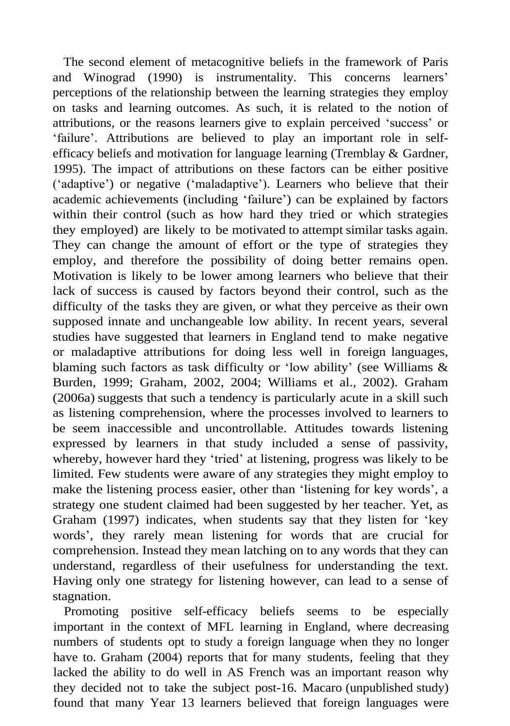The second element of metacognitive beliefs in the framework of Paris and Winograd (1990) is instrumentality. This concerns learners' perceptions of the relationship between the learning strategies they employ on tasks and learning outcomes. As such, it is related to the notion of attributions, or the reasons learners give to explain perceived 'success' or 'failure'. Attributions are believed to play an important role in selfefficacy beliefs and motivation for language learning (Tremblay & Gardner, 1995). The impact of attributions on these factors can be either positive ('adaptive') or negative ('maladaptive'). Learners who believe that their academic achievements (including 'failure') can be explained by factors within their control (such as how hard they tried or which strategies they employed) are likely to be motivated to attempt similar tasks again. They can change the amount of effort or the type of strategies they employ, and therefore the possibility of doing better remains open. Motivation is likely to be lower among learners who believe that their lack of success is caused by factors beyond their control, such as the difficulty of the tasks they are given, or what they perceive as their own supposed innate and unchangeable low ability. In recent years, several studies have suggested that learners in England tend to make negative or maladaptive attributions for doing less well in foreign languages, blaming such factors as task difficulty or 'low ability' (see Williams & Burden, 1999; Graham, 2002, 2004; Williams et al., 2002). Graham (2006a) suggests that such a tendency is particularly acute in a skill such as listening comprehension, where the processes involved to learners to be seem inaccessible and uncontrollable. Attitudes towards listening expressed by learners in that study included a sense of passivity, whereby, however hard they 'tried' at listening, progress was likely to be limited. Few students were aware of any strategies they might employ to make the listening process easier, other than 'listening for key words', a strategy one student claimed had been suggested by her teacher. Yet, as Graham (1997) indicates, when students say that they listen for 'key words', they rarely mean listening for words that are crucial for comprehension. Instead they mean latching on to any words that they can understand, regardless of their usefulness for understanding the text. Having only one strategy for listening however, can lead to a sense of stagnation.

Promoting positive self-efficacy beliefs seems to be especially important in the context of MFL learning in England, where decreasing numbers of students opt to study a foreign language when they no longer have to. Graham (2004) reports that for many students, feeling that they lacked the ability to do well in AS French was an important reason why they decided not to take the subject post-16. Macaro (unpublished study) found that many Year 13 learners believed that foreign languages were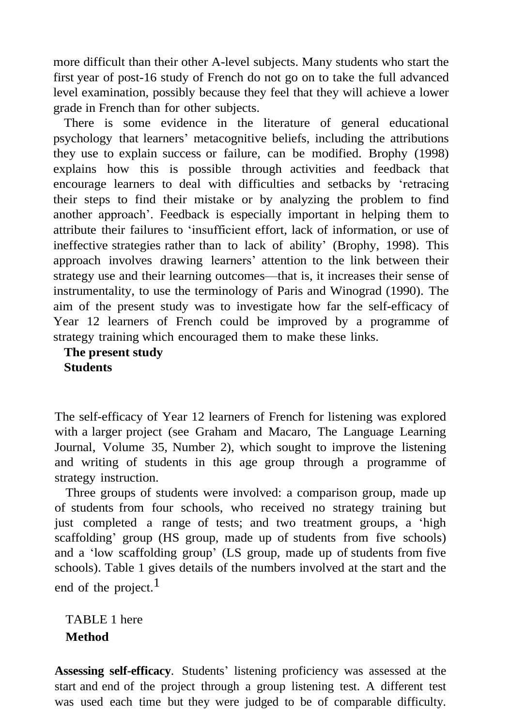more difficult than their other A-level subjects. Many students who start the first year of post-16 study of French do not go on to take the full advanced level examination, possibly because they feel that they will achieve a lower grade in French than for other subjects.

There is some evidence in the literature of general educational psychology that learners' metacognitive beliefs, including the attributions they use to explain success or failure, can be modified. Brophy (1998) explains how this is possible through activities and feedback that encourage learners to deal with difficulties and setbacks by 'retracing their steps to find their mistake or by analyzing the problem to find another approach'. Feedback is especially important in helping them to attribute their failures to 'insufficient effort, lack of information, or use of ineffective strategies rather than to lack of ability' (Brophy, 1998). This approach involves drawing learners' attention to the link between their strategy use and their learning outcomes—that is, it increases their sense of instrumentality, to use the terminology of Paris and Winograd (1990). The aim of the present study was to investigate how far the self-efficacy of Year 12 learners of French could be improved by a programme of strategy training which encouraged them to make these links.

#### **The present study Students**

The self-efficacy of Year 12 learners of French for listening was explored with a larger project (see Graham and Macaro, The Language Learning Journal, Volume 35, Number 2), which sought to improve the listening and writing of students in this age group through a programme of strategy instruction.

Three groups of students were involved: a comparison group, made up of students from four schools, who received no strategy training but just completed a range of tests; and two treatment groups, a 'high scaffolding' group (HS group, made up of students from five schools) and a 'low scaffolding group' (LS group, made up of students from five schools). Table 1 gives details of the numbers involved at the start and the end of the project. $<sup>1</sup>$ </sup>

TABLE 1 here **Method**

**Assessing self-efficacy**. Students' listening proficiency was assessed at the start and end of the project through a group listening test. A different test was used each time but they were judged to be of comparable difficulty.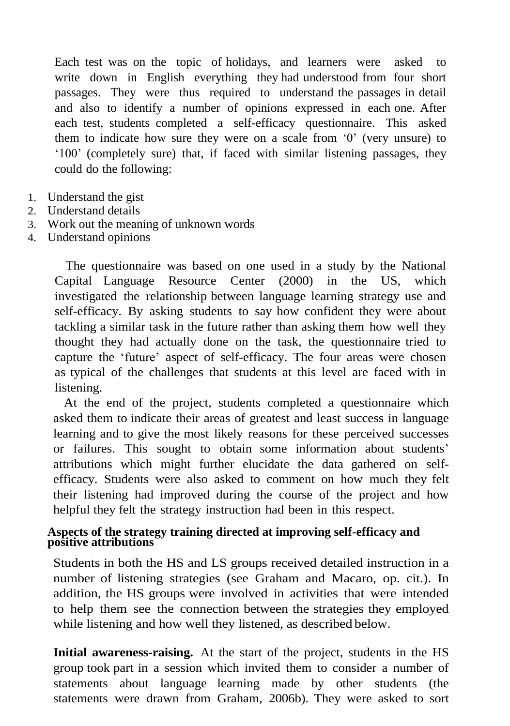Each test was on the topic of holidays, and learners were asked to write down in English everything they had understood from four short passages. They were thus required to understand the passages in detail and also to identify a number of opinions expressed in each one. After each test, students completed a self-efficacy questionnaire. This asked them to indicate how sure they were on a scale from '0' (very unsure) to '100' (completely sure) that, if faced with similar listening passages, they could do the following:

- 1. Understand the gist
- 2. Understand details
- 3. Work out the meaning of unknown words
- 4. Understand opinions

The questionnaire was based on one used in a study by the National Capital Language Resource Center (2000) in the US, which investigated the relationship between language learning strategy use and self-efficacy. By asking students to say how confident they were about tackling a similar task in the future rather than asking them how well they thought they had actually done on the task, the questionnaire tried to capture the 'future' aspect of self-efficacy. The four areas were chosen as typical of the challenges that students at this level are faced with in listening.

At the end of the project, students completed a questionnaire which asked them to indicate their areas of greatest and least success in language learning and to give the most likely reasons for these perceived successes or failures. This sought to obtain some information about students' attributions which might further elucidate the data gathered on selfefficacy. Students were also asked to comment on how much they felt their listening had improved during the course of the project and how helpful they felt the strategy instruction had been in this respect.

#### **Aspects of the strategy training directed at improving self-efficacy and positive attributions**

Students in both the HS and LS groups received detailed instruction in a number of listening strategies (see Graham and Macaro, op. cit.). In addition, the HS groups were involved in activities that were intended to help them see the connection between the strategies they employed while listening and how well they listened, as described below.

**Initial awareness-raising.** At the start of the project, students in the HS group took part in a session which invited them to consider a number of statements about language learning made by other students (the statements were drawn from Graham, 2006b). They were asked to sort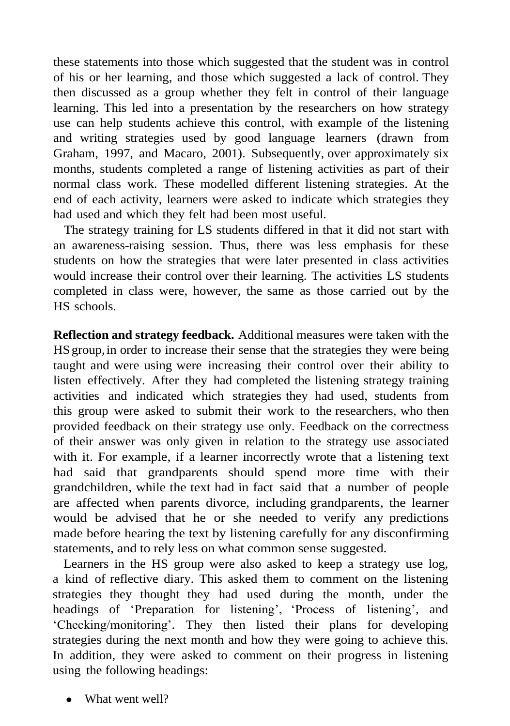these statements into those which suggested that the student was in control of his or her learning, and those which suggested a lack of control. They then discussed as a group whether they felt in control of their language learning. This led into a presentation by the researchers on how strategy use can help students achieve this control, with example of the listening and writing strategies used by good language learners (drawn from Graham, 1997, and Macaro, 2001). Subsequently, over approximately six months, students completed a range of listening activities as part of their normal class work. These modelled different listening strategies. At the end of each activity, learners were asked to indicate which strategies they had used and which they felt had been most useful.

The strategy training for LS students differed in that it did not start with an awareness-raising session. Thus, there was less emphasis for these students on how the strategies that were later presented in class activities would increase their control over their learning. The activities LS students completed in class were, however, the same as those carried out by the HS schools.

**Reflection and strategy feedback.** Additional measures were taken with the HSgroup,in order to increase their sense that the strategies they were being taught and were using were increasing their control over their ability to listen effectively. After they had completed the listening strategy training activities and indicated which strategies they had used, students from this group were asked to submit their work to the researchers, who then provided feedback on their strategy use only. Feedback on the correctness of their answer was only given in relation to the strategy use associated with it. For example, if a learner incorrectly wrote that a listening text had said that grandparents should spend more time with their grandchildren, while the text had in fact said that a number of people are affected when parents divorce, including grandparents, the learner would be advised that he or she needed to verify any predictions made before hearing the text by listening carefully for any disconfirming statements, and to rely less on what common sense suggested.

Learners in the HS group were also asked to keep a strategy use log, a kind of reflective diary. This asked them to comment on the listening strategies they thought they had used during the month, under the headings of 'Preparation for listening', 'Process of listening', and 'Checking/monitoring'. They then listed their plans for developing strategies during the next month and how they were going to achieve this. In addition, they were asked to comment on their progress in listening using the following headings:

What went well?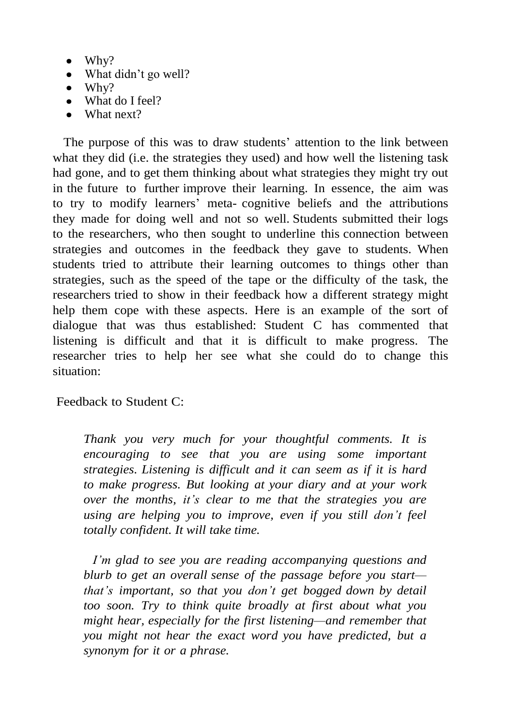- Why?
- What didn't go well?
- Why?
- What do I feel?
- What next?

The purpose of this was to draw students' attention to the link between what they did (i.e. the strategies they used) and how well the listening task had gone, and to get them thinking about what strategies they might try out in the future to further improve their learning. In essence, the aim was to try to modify learners' meta- cognitive beliefs and the attributions they made for doing well and not so well. Students submitted their logs to the researchers, who then sought to underline this connection between strategies and outcomes in the feedback they gave to students. When students tried to attribute their learning outcomes to things other than strategies, such as the speed of the tape or the difficulty of the task, the researchers tried to show in their feedback how a different strategy might help them cope with these aspects. Here is an example of the sort of dialogue that was thus established: Student C has commented that listening is difficult and that it is difficult to make progress. The researcher tries to help her see what she could do to change this situation:

Feedback to Student C:

*Thank you very much for your thoughtful comments. It is encouraging to see that you are using some important strategies. Listening is difficult and it can seem as if it is hard to make progress. But looking at your diary and at your work over the months, it's clear to me that the strategies you are using are helping you to improve, even if you still don't feel totally confident. It will take time.*

*I'm glad to see you are reading accompanying questions and blurb to get an overall sense of the passage before you start that's important, so that you don't get bogged down by detail too soon. Try to think quite broadly at first about what you might hear, especially for the first listening—and remember that you might not hear the exact word you have predicted, but a synonym for it or a phrase.*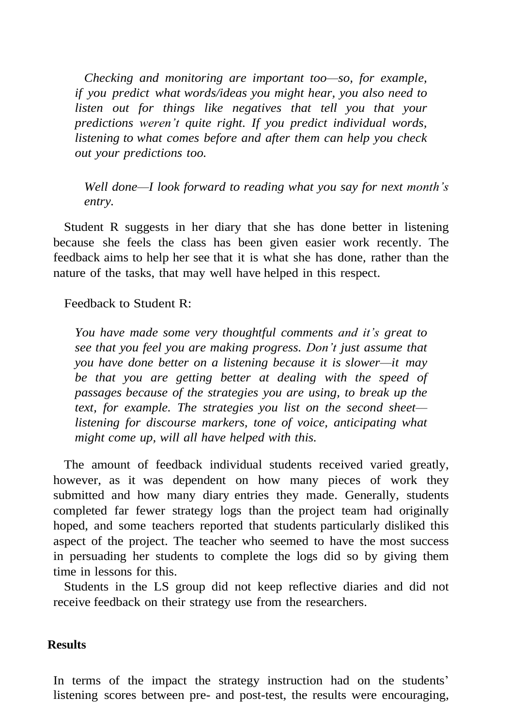*Checking and monitoring are important too—so, for example, if you predict what words/ideas you might hear, you also need to listen out for things like negatives that tell you that your predictions weren't quite right. If you predict individual words, listening to what comes before and after them can help you check out your predictions too.*

*Well done—I look forward to reading what you say for next month's entry.*

Student R suggests in her diary that she has done better in listening because she feels the class has been given easier work recently. The feedback aims to help her see that it is what she has done, rather than the nature of the tasks, that may well have helped in this respect.

Feedback to Student R:

*You have made some very thoughtful comments and it's great to see that you feel you are making progress. Don't just assume that you have done better on a listening because it is slower—it may be that you are getting better at dealing with the speed of passages because of the strategies you are using, to break up the text, for example. The strategies you list on the second sheet listening for discourse markers, tone of voice, anticipating what might come up, will all have helped with this.*

The amount of feedback individual students received varied greatly, however, as it was dependent on how many pieces of work they submitted and how many diary entries they made. Generally, students completed far fewer strategy logs than the project team had originally hoped, and some teachers reported that students particularly disliked this aspect of the project. The teacher who seemed to have the most success in persuading her students to complete the logs did so by giving them time in lessons for this.

Students in the LS group did not keep reflective diaries and did not receive feedback on their strategy use from the researchers.

#### **Results**

In terms of the impact the strategy instruction had on the students' listening scores between pre- and post-test, the results were encouraging,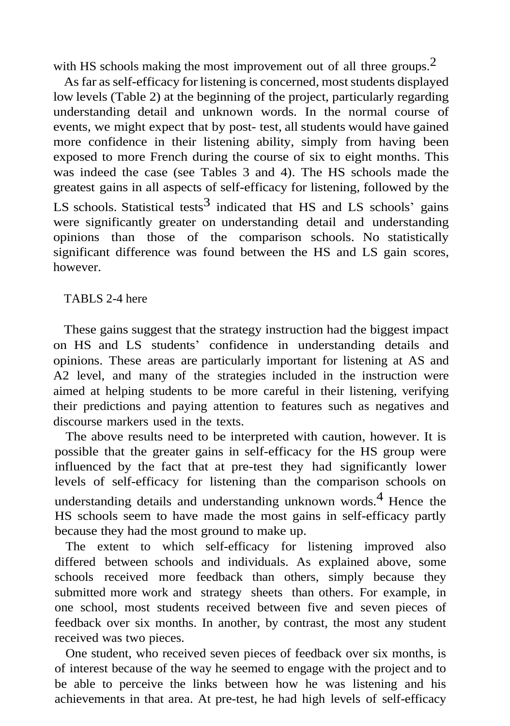with HS schools making the most improvement out of all three groups.<sup>2</sup>

As far as self-efficacy for listening is concerned, most students displayed low levels (Table 2) at the beginning of the project, particularly regarding understanding detail and unknown words. In the normal course of events, we might expect that by post- test, all students would have gained more confidence in their listening ability, simply from having been exposed to more French during the course of six to eight months. This was indeed the case (see Tables 3 and 4). The HS schools made the greatest gains in all aspects of self-efficacy for listening, followed by the LS schools. Statistical tests<sup>3</sup> indicated that HS and LS schools' gains were significantly greater on understanding detail and understanding opinions than those of the comparison schools. No statistically significant difference was found between the HS and LS gain scores, however.

TABLS 2-4 here

These gains suggest that the strategy instruction had the biggest impact on HS and LS students' confidence in understanding details and opinions. These areas are particularly important for listening at AS and A2 level, and many of the strategies included in the instruction were aimed at helping students to be more careful in their listening, verifying their predictions and paying attention to features such as negatives and discourse markers used in the texts.

The above results need to be interpreted with caution, however. It is possible that the greater gains in self-efficacy for the HS group were influenced by the fact that at pre-test they had significantly lower levels of self-efficacy for listening than the comparison schools on understanding details and understanding unknown words. 4 Hence the HS schools seem to have made the most gains in self-efficacy partly because they had the most ground to make up.

The extent to which self-efficacy for listening improved also differed between schools and individuals. As explained above, some schools received more feedback than others, simply because they submitted more work and strategy sheets than others. For example, in one school, most students received between five and seven pieces of feedback over six months. In another, by contrast, the most any student received was two pieces.

One student, who received seven pieces of feedback over six months, is of interest because of the way he seemed to engage with the project and to be able to perceive the links between how he was listening and his achievements in that area. At pre-test, he had high levels of self-efficacy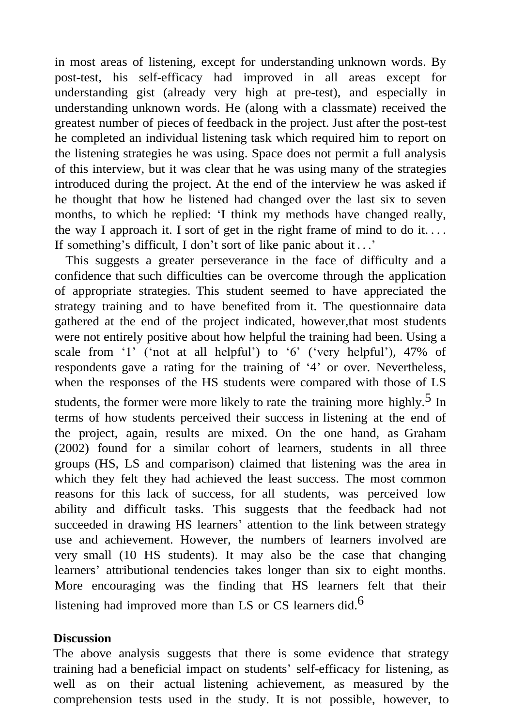in most areas of listening, except for understanding unknown words. By post-test, his self-efficacy had improved in all areas except for understanding gist (already very high at pre-test), and especially in understanding unknown words. He (along with a classmate) received the greatest number of pieces of feedback in the project. Just after the post-test he completed an individual listening task which required him to report on the listening strategies he was using. Space does not permit a full analysis of this interview, but it was clear that he was using many of the strategies introduced during the project. At the end of the interview he was asked if he thought that how he listened had changed over the last six to seven months, to which he replied: 'I think my methods have changed really, the way I approach it. I sort of get in the right frame of mind to do it.... If something's difficult, I don't sort of like panic about it . . .'

This suggests a greater perseverance in the face of difficulty and a confidence that such difficulties can be overcome through the application of appropriate strategies. This student seemed to have appreciated the strategy training and to have benefited from it. The questionnaire data gathered at the end of the project indicated, however,that most students were not entirely positive about how helpful the training had been. Using a scale from '1' ('not at all helpful') to '6' ('very helpful'), 47% of respondents gave a rating for the training of '4' or over. Nevertheless, when the responses of the HS students were compared with those of LS students, the former were more likely to rate the training more highly.<sup>5</sup> In terms of how students perceived their success in listening at the end of the project, again, results are mixed. On the one hand, as Graham (2002) found for a similar cohort of learners, students in all three groups (HS, LS and comparison) claimed that listening was the area in which they felt they had achieved the least success. The most common reasons for this lack of success, for all students, was perceived low ability and difficult tasks. This suggests that the feedback had not succeeded in drawing HS learners' attention to the link between strategy use and achievement. However, the numbers of learners involved are very small (10 HS students). It may also be the case that changing learners' attributional tendencies takes longer than six to eight months. More encouraging was the finding that HS learners felt that their listening had improved more than LS or CS learners did.<sup>6</sup>

#### **Discussion**

The above analysis suggests that there is some evidence that strategy training had a beneficial impact on students' self-efficacy for listening, as well as on their actual listening achievement, as measured by the comprehension tests used in the study. It is not possible, however, to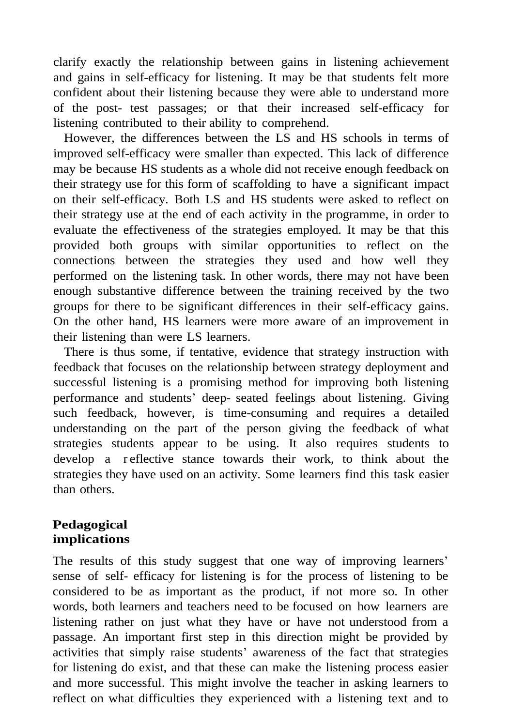clarify exactly the relationship between gains in listening achievement and gains in self-efficacy for listening. It may be that students felt more confident about their listening because they were able to understand more of the post- test passages; or that their increased self-efficacy for listening contributed to their ability to comprehend.

However, the differences between the LS and HS schools in terms of improved self-efficacy were smaller than expected. This lack of difference may be because HS students as a whole did not receive enough feedback on their strategy use for this form of scaffolding to have a significant impact on their self-efficacy. Both LS and HS students were asked to reflect on their strategy use at the end of each activity in the programme, in order to evaluate the effectiveness of the strategies employed. It may be that this provided both groups with similar opportunities to reflect on the connections between the strategies they used and how well they performed on the listening task. In other words, there may not have been enough substantive difference between the training received by the two groups for there to be significant differences in their self-efficacy gains. On the other hand, HS learners were more aware of an improvement in their listening than were LS learners.

There is thus some, if tentative, evidence that strategy instruction with feedback that focuses on the relationship between strategy deployment and successful listening is a promising method for improving both listening performance and students' deep- seated feelings about listening. Giving such feedback, however, is time-consuming and requires a detailed understanding on the part of the person giving the feedback of what strategies students appear to be using. It also requires students to develop a r eflective stance towards their work, to think about the strategies they have used on an activity. Some learners find this task easier than others.

#### **Pedagogical implications**

The results of this study suggest that one way of improving learners' sense of self- efficacy for listening is for the process of listening to be considered to be as important as the product, if not more so. In other words, both learners and teachers need to be focused on how learners are listening rather on just what they have or have not understood from a passage. An important first step in this direction might be provided by activities that simply raise students' awareness of the fact that strategies for listening do exist, and that these can make the listening process easier and more successful. This might involve the teacher in asking learners to reflect on what difficulties they experienced with a listening text and to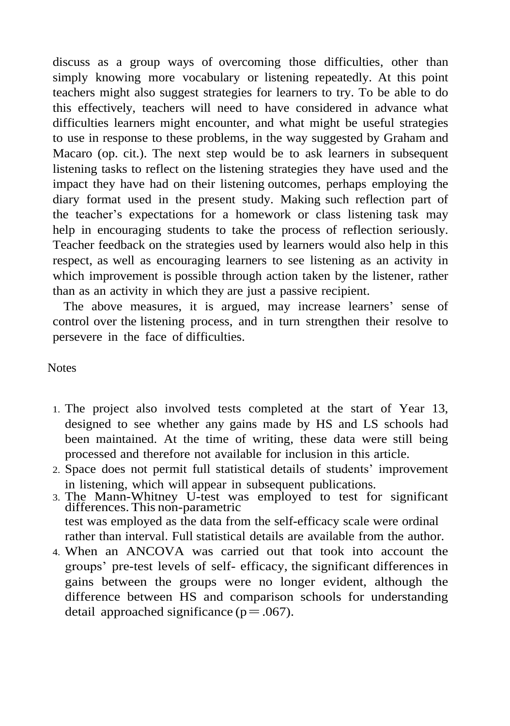discuss as a group ways of overcoming those difficulties, other than simply knowing more vocabulary or listening repeatedly. At this point teachers might also suggest strategies for learners to try. To be able to do this effectively, teachers will need to have considered in advance what difficulties learners might encounter, and what might be useful strategies to use in response to these problems, in the way suggested by Graham and Macaro (op. cit.). The next step would be to ask learners in subsequent listening tasks to reflect on the listening strategies they have used and the impact they have had on their listening outcomes, perhaps employing the diary format used in the present study. Making such reflection part of the teacher's expectations for a homework or class listening task may help in encouraging students to take the process of reflection seriously. Teacher feedback on the strategies used by learners would also help in this respect, as well as encouraging learners to see listening as an activity in which improvement is possible through action taken by the listener, rather than as an activity in which they are just a passive recipient.

The above measures, it is argued, may increase learners' sense of control over the listening process, and in turn strengthen their resolve to persevere in the face of difficulties.

#### **Notes**

- 1. The project also involved tests completed at the start of Year 13, designed to see whether any gains made by HS and LS schools had been maintained. At the time of writing, these data were still being processed and therefore not available for inclusion in this article.
- 2. Space does not permit full statistical details of students' improvement in listening, which will appear in subsequent publications.
- 3. The Mann-Whitney U-test was employed to test for significant differences. This non-parametric test was employed as the data from the self-efficacy scale were ordinal rather than interval. Full statistical details are available from the author.
- 4. When an ANCOVA was carried out that took into account the groups' pre-test levels of self- efficacy, the significant differences in gains between the groups were no longer evident, although the difference between HS and comparison schools for understanding detail approached significance ( $p = .067$ ).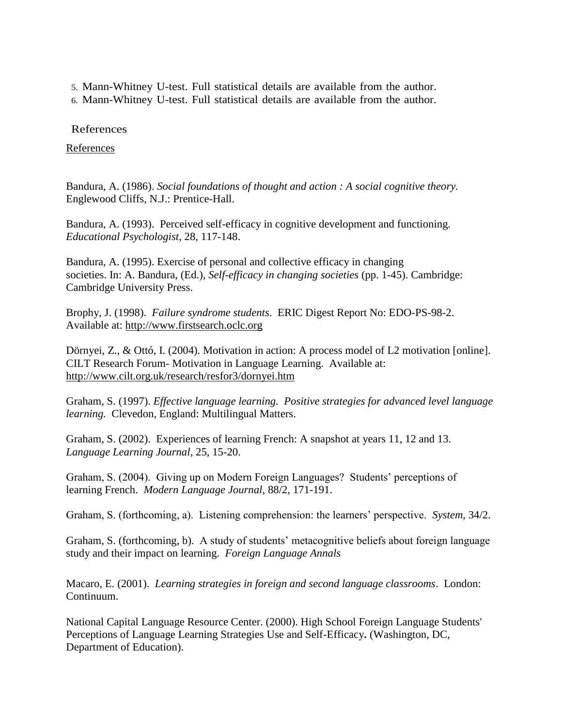5. Mann-Whitney U-test. Full statistical details are available from the author.

6. Mann-Whitney U-test. Full statistical details are available from the author.

#### References

References

Bandura, A. (1986). *Social foundations of thought and action : A social cognitive theory.*  Englewood Cliffs, N.J.: Prentice-Hall.

Bandura, A. (1993). Perceived self-efficacy in cognitive development and functioning. *Educational Psychologist*, 28, 117-148.

Bandura, A. (1995). Exercise of personal and collective efficacy in changing societies. In: A. Bandura, (Ed.), *Self-efficacy in changing societies* (pp. 1-45). Cambridge: Cambridge University Press.

Brophy, J. (1998). *Failure syndrome students*. ERIC Digest Report No: EDO-PS-98-2. Available at: [http://www.firstsearch.oclc.org](http://www.firstsearch.oclc.org/)

Dörnyei, Z., & Ottó, I. (2004). Motivation in action: A process model of L2 motivation [online]. CILT Research Forum- Motivation in Language Learning. Available at: <http://www.cilt.org.uk/research/resfor3/dornyei.htm>

Graham, S. (1997). *Effective language learning. Positive strategies for advanced level language learning.* Clevedon, England: Multilingual Matters.

Graham, S. (2002). Experiences of learning French: A snapshot at years 11, 12 and 13. *Language Learning Journal*, 25, 15-20.

Graham, S. (2004). Giving up on Modern Foreign Languages? Students' perceptions of learning French. *Modern Language Journal*, 88/2, 171-191.

Graham, S. (forthcoming, a). Listening comprehension: the learners' perspective. *System*, 34/2.

Graham, S. (forthcoming, b). A study of students' metacognitive beliefs about foreign language study and their impact on learning. *Foreign Language Annals*

Macaro, E. (2001). *Learning strategies in foreign and second language classrooms*. London: Continuum.

National Capital Language Resource Center. (2000). High School Foreign Language Students' Perceptions of Language Learning Strategies Use and Self-Efficacy**.** (Washington, DC, Department of Education).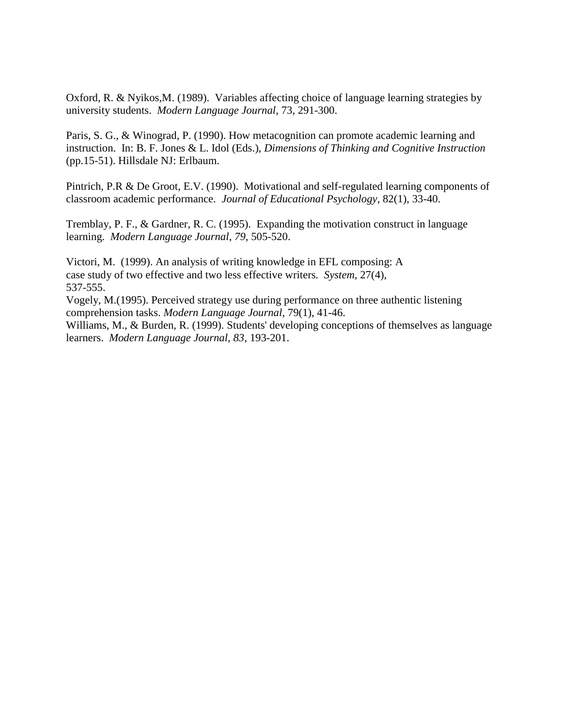Oxford, R. & Nyikos,M. (1989). Variables affecting choice of language learning strategies by university students. *Modern Language Journal*, 73, 291-300.

Paris, S. G., & Winograd, P. (1990). How metacognition can promote academic learning and instruction. In: B. F. Jones & L. Idol (Eds.), *Dimensions of Thinking and Cognitive Instruction* (pp.15-51). Hillsdale NJ: Erlbaum.

Pintrich, P.R & De Groot, E.V. (1990). Motivational and self-regulated learning components of classroom academic performance. *Journal of Educational Psychology*, 82(1), 33-40.

Tremblay, P. F., & Gardner, R. C. (1995). Expanding the motivation construct in language learning. *Modern Language Journal*, *79*, 505-520.

Victori, M. (1999). An analysis of writing knowledge in EFL composing: A case study of two effective and two less effective writers*. System,* 27(4), 537-555.

Vogely, M.(1995). Perceived strategy use during performance on three authentic listening comprehension tasks. *Modern Language Journal*, 79(1), 41-46.

Williams, M., & Burden, R. (1999). Students' developing conceptions of themselves as language learners. *Modern Language Journal, 83*, 193-201.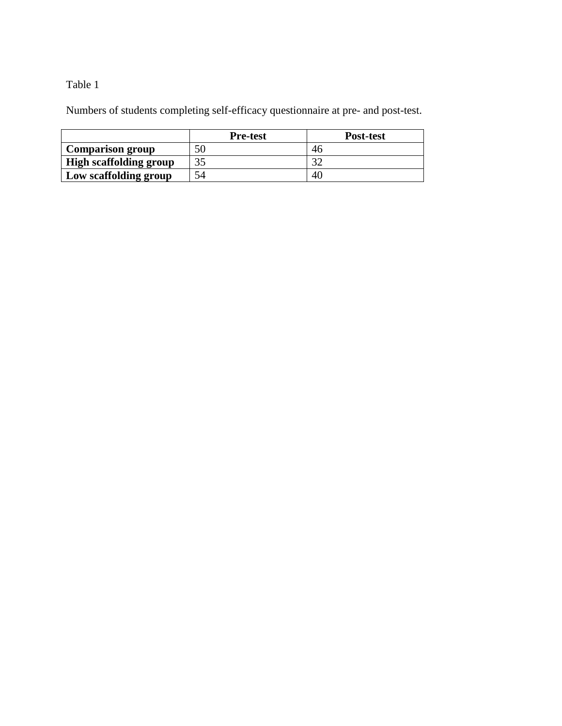## Table 1

Numbers of students completing self-efficacy questionnaire at pre- and post-test.

|                               | <b>Pre-test</b> | <b>Post-test</b> |
|-------------------------------|-----------------|------------------|
| <b>Comparison group</b>       | 50              | 46               |
| <b>High scaffolding group</b> | 35              |                  |
| Low scaffolding group         | 54              | 40               |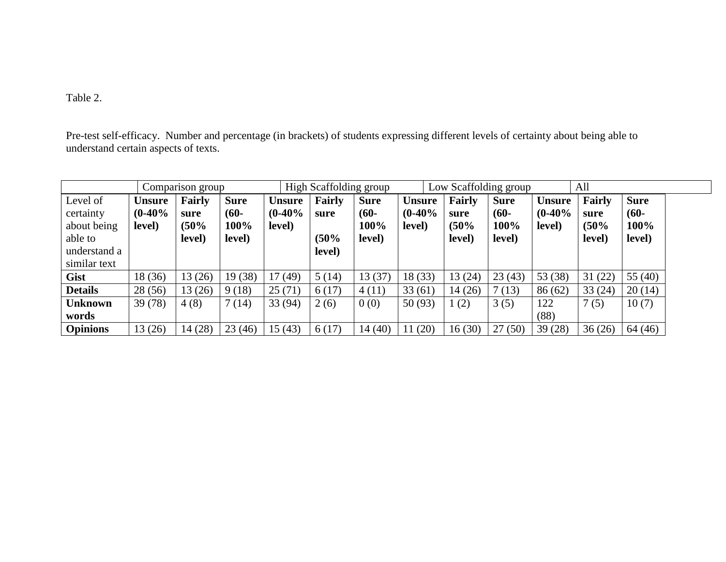## Table 2.

Pre-test self-efficacy. Number and percentage (in brackets) of students expressing different levels of certainty about being able to understand certain aspects of texts.

|                       | Comparison group          |                |                       | High Scaffolding group    |                |                        | Low Scaffolding group     |                       |                        | All                       |                |                        |  |
|-----------------------|---------------------------|----------------|-----------------------|---------------------------|----------------|------------------------|---------------------------|-----------------------|------------------------|---------------------------|----------------|------------------------|--|
| Level of<br>certainty | <b>Unsure</b><br>$(0-40%$ | Fairly<br>sure | <b>Sure</b><br>$(60-$ | <b>Unsure</b><br>$(0-40%$ | Fairly<br>sure | <b>Sure</b><br>$(60 -$ | <b>Unsure</b><br>$(0-40%$ | <b>Fairly</b><br>sure | <b>Sure</b><br>$(60 -$ | <b>Unsure</b><br>$(0-40%$ | Fairly<br>sure | <b>Sure</b><br>$(60 -$ |  |
| about being           | level)                    | (50%           | 100%                  | level)                    |                | 100%                   | level)                    | (50%                  | 100%                   | level)                    | (50%           | 100%                   |  |
| able to               |                           | level)         | level)                |                           | (50%           | level)                 |                           | level)                | level)                 |                           | level)         | level)                 |  |
| understand a          |                           |                |                       |                           | level)         |                        |                           |                       |                        |                           |                |                        |  |
| similar text          |                           |                |                       |                           |                |                        |                           |                       |                        |                           |                |                        |  |
| <b>Gist</b>           | 18 (36)                   | 13(26)         | 19(38)                | 17(49)                    | 5(14)          | 13(37)                 | 18(33)                    | 13 (24)               | 23(43)                 | 53 (38)                   | 31(22)         | 55(40)                 |  |
| <b>Details</b>        | 28 (56)                   | 13(26)         | 9(18)                 | 25(71)                    | 6(17)          | 4(11)                  | 33(61)                    | 14 (26)               | 7(13)                  | 86(62)                    | 33(24)         | 20(14)                 |  |
| <b>Unknown</b>        | 39 (78)                   | 4(8)           | 7(14)                 | 33 (94)                   | 2(6)           | 0(0)                   | 50(93)                    | (2)                   | 3(5)                   | 122                       | 7(5)           | 10(7)                  |  |
| words                 |                           |                |                       |                           |                |                        |                           |                       |                        | (88)                      |                |                        |  |
| <b>Opinions</b>       | 13 (26)                   | 14(28)         | 23(46)                | 15(43)                    | 6(17)          | 14(40)                 | (20)                      | 16(30)                | 27(50)                 | 39(28)                    | 36(26)         | 64(46)                 |  |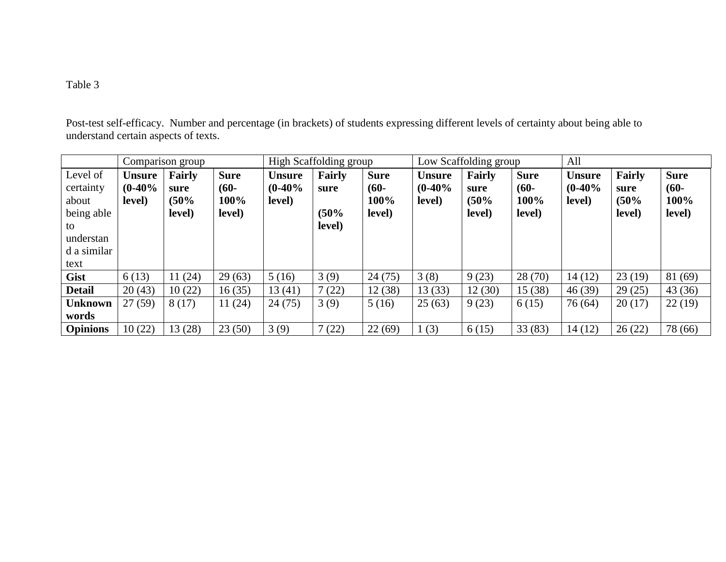# Table 3

Post-test self-efficacy. Number and percentage (in brackets) of students expressing different levels of certainty about being able to understand certain aspects of texts.

|                 |               | Comparison group |             |               | High Scaffolding group |             | Low Scaffolding group |        |             | All           |        |             |  |
|-----------------|---------------|------------------|-------------|---------------|------------------------|-------------|-----------------------|--------|-------------|---------------|--------|-------------|--|
| Level of        | <b>Unsure</b> | <b>Fairly</b>    | <b>Sure</b> | <b>Unsure</b> | Fairly                 | <b>Sure</b> | <b>Unsure</b>         | Fairly | <b>Sure</b> | <b>Unsure</b> | Fairly | <b>Sure</b> |  |
| certainty       | $(0-40%$      | sure             | $(60 -$     | $(0-40%$      | sure                   | $(60 -$     | $(0-40%$              | sure   | $(60 -$     | $(0-40%$      | sure   | $(60 -$     |  |
| about           | level)        | (50%             | 100%        | level)        |                        | 100%        | level)                | (50%   | 100%        | level)        | (50%   | 100%        |  |
| being able      |               | level)           | level)      |               | (50%                   | level)      |                       | level) | level)      |               | level) | level)      |  |
| to              |               |                  |             |               | level)                 |             |                       |        |             |               |        |             |  |
| understan       |               |                  |             |               |                        |             |                       |        |             |               |        |             |  |
| d a similar     |               |                  |             |               |                        |             |                       |        |             |               |        |             |  |
| text            |               |                  |             |               |                        |             |                       |        |             |               |        |             |  |
| <b>Gist</b>     | 6(13)         | 11(24)           | 29(63)      | 5(16)         | 3(9)                   | 24(75)      | 3(8)                  | 9(23)  | 28(70)      | 14(12)        | 23(19) | 81 (69)     |  |
| <b>Detail</b>   | 20(43)        | 10(22)           | 16(35)      | 13(41)        | (22)                   | 12(38)      | 13 (33)               | 12(30) | 15(38)      | 46(39)        | 29(25) | 43(36)      |  |
| <b>Unknown</b>  | 27(59)        | 8(17)            | 11(24)      | 24(75)        | 3(9)                   | 5(16)       | 25(63)                | 9(23)  | 6(15)       | 76 (64)       | 20(17) | 22(19)      |  |
| words           |               |                  |             |               |                        |             |                       |        |             |               |        |             |  |
| <b>Opinions</b> | 10(22)        | 13 (28)          | 23(50)      | 3(9)          | (22)                   | 22(69)      | (3)                   | 6(15)  | 33(83)      | 14(12)        | 26(22) | 78 (66)     |  |